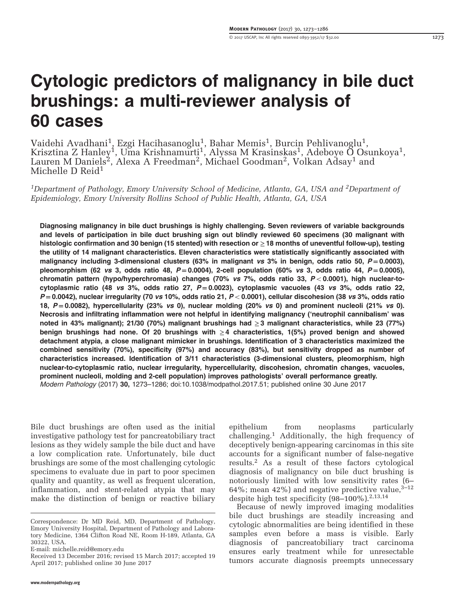# Cytologic predictors of malignancy in bile duct brushings: a multi-reviewer analysis of 60 cases

Vaidehi Avadhani $^1$ , Ezgi Hacihasanoglu $^1$ , Bahar Memis $^1$ , Burcin Pehlivanoglu $^1$ , Krisztina Z Hanley<sup>1</sup>, Uma Krishnamurti<sup>1</sup>, Alyssa M Krasinskas<sup>1</sup>, Adeboye Ö Osunkoya<sup>1</sup>, Lauren M Daniels<sup>2</sup>, Alexa A Freedman<sup>2</sup>, Michael Goodman<sup>2</sup>, Volkan Adsay<sup>1</sup> and Michelle D Reid<sup>1</sup>

<sup>1</sup>Department of Pathology, Emory University School of Medicine, Atlanta, GA, USA and <sup>2</sup>Department of Epidemiology, Emory University Rollins School of Public Health, Atlanta, GA, USA

Diagnosing malignancy in bile duct brushings is highly challenging. Seven reviewers of variable backgrounds and levels of participation in bile duct brushing sign out blindly reviewed 60 specimens (30 malignant with histologic confirmation and 30 benign (15 stented) with resection or ≥ 18 months of uneventful follow-up), testing the utility of 14 malignant characteristics. Eleven characteristics were statistically significantly associated with malignancy including 3-dimensional clusters (63% in malignant vs 3% in benign, odds ratio 50,  $P = 0.0003$ ), pleomorphism (62 vs 3, odds ratio 48,  $P = 0.0004$ ), 2-cell population (60% vs 3, odds ratio 44,  $P = 0.0005$ ), chromatin pattern (hypo/hyperchromasia) changes (70% vs 7%, odds ratio 33,  $P < 0.0001$ ), high nuclear-tocytoplasmic ratio (48 vs 3%, odds ratio 27,  $P = 0.0023$ ), cytoplasmic vacuoles (43 vs 3%, odds ratio 22,  $P = 0.0042$ ), nuclear irregularity (70 vs 10%, odds ratio 21,  $P < 0.0001$ ), cellular discohesion (38 vs 3%, odds ratio 18,  $P = 0.0082$ ), hypercellularity (23% vs 0), nuclear molding (20% vs 0) and prominent nucleoli (21% vs 0). Necrosis and infiltrating inflammation were not helpful in identifying malignancy ('neutrophil cannibalism' was noted in 43% malignant); 21/30 (70%) malignant brushings had ≥3 malignant characteristics, while 23 (77%) benign brushings had none. Of 20 brushings with  $\geq 4$  characteristics, 1(5%) proved benign and showed detachment atypia, a close malignant mimicker in brushings. Identification of 3 characteristics maximized the combined sensitivity (70%), specificity (97%) and accuracy (83%), but sensitivity dropped as number of characteristics increased. Identification of 3/11 characteristics (3-dimensional clusters, pleomorphism, high nuclear-to-cytoplasmic ratio, nuclear irregularity, hypercellularity, discohesion, chromatin changes, vacuoles, prominent nucleoli, molding and 2-cell population) improves pathologists' overall performance greatly. Modern Pathology (2017) 30, 1273–1286; doi[:10.1038/modpathol.2017.51;](http://dx.doi.org/10.1038/modpathol.2017.51) published online 30 June 2017

Bile duct brushings are often used as the initial investigative pathology test for pancreatobiliary tract lesions as they widely sample the bile duct and have a low complication rate. Unfortunately, bile duct brushings are some of the most challenging cytologic specimens to evaluate due in part to poor specimen quality and quantity, as well as frequent ulceration, inflammation, and stent-related atypia that may make the distinction of benign or reactive biliary epithelium from neoplasms particularly challenging[.1](#page-12-0) Additionally, the high frequency of deceptively benign-appearing carcinomas in this site accounts for a significant number of false-negative results.[2](#page-12-0) As a result of these factors cytological diagnosis of malignancy on bile duct brushing is notoriously limited with low sensitivity rates (6– 64%; mean 42%) and negative predictive value,  $3-12$  $3-12$ despite high test specificity (98-100%).<sup>[2,13,14](#page-12-0)</sup>

Because of newly improved imaging modalities bile duct brushings are steadily increasing and cytologic abnormalities are being identified in these samples even before a mass is visible. Early diagnosis of pancreatobiliary tract carcinoma ensures early treatment while for unresectable tumors accurate diagnosis preempts unnecessary

Correspondence: Dr MD Reid, MD, Department of Pathology, Emory University Hospital, Department of Pathology and Laboratory Medicine, 1364 Clifton Road NE, Room H-189, Atlanta, GA 30322, USA.

E-mail: [michelle.reid@emory.edu](mailto:michelle.reid@emory.edu)

Received 13 December 2016; revised 15 March 2017; accepted 19 April 2017; published online 30 June 2017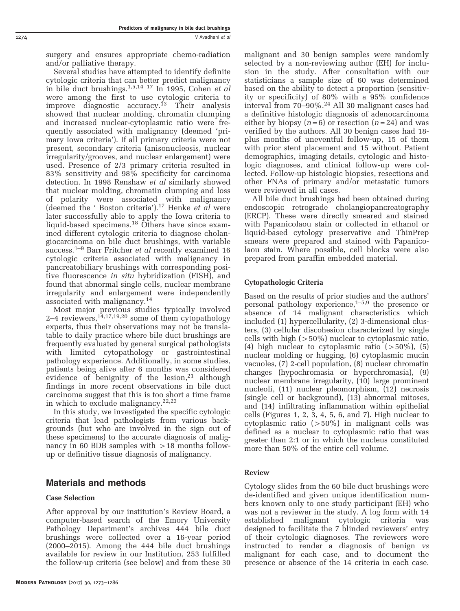surgery and ensures appropriate chemo-radiation and/or palliative therapy.

Several studies have attempted to identify definite cytologic criteria that can better predict malignancy in bile duct brushings.<sup>1,5,14–[17](#page-12-0)</sup> In 1995, Cohen et al were among the first to use cytologic criteria to improve diagnostic accuracy.<sup>[13](#page-12-0)</sup> Their analysis showed that nuclear molding, chromatin clumping and increased nuclear-cytoplasmic ratio were frequently associated with malignancy (deemed 'primary Iowa criteria'). If all primary criteria were not present, secondary criteria (anisonucleosis, nuclear irregularity/grooves, and nuclear enlargement) were used. Presence of 2/3 primary criteria resulted in 83% sensitivity and 98% specificity for carcinoma detection. In 1998 Renshaw et al similarly showed that nuclear molding, chromatin clumping and loss of polarity were associated with malignancy (deemed the ' Boston criteria').<sup>[17](#page-12-0)</sup> Henke et al were later successfully able to apply the Iowa criteria to liquid-based specimens.[18](#page-12-0) Others have since examined different cytologic criteria to diagnose cholangiocarcinoma on bile duct brushings, with variable success.<sup>[1](#page-12-0)–9</sup> Barr Fritcher et al recently examined 16 cytologic criteria associated with malignancy in pancreatobiliary brushings with corresponding positive fluorescence in situ hybridization (FISH), and found that abnormal single cells, nuclear membrane irregularity and enlargement were independently associated with malignancy.[14](#page-12-0)

Most major previous studies typically involved 2-4 reviewers,<sup>[14,17,19,20](#page-12-0)</sup> some of them cytopathology experts, thus their observations may not be translatable to daily practice where bile duct brushings are frequently evaluated by general surgical pathologists with limited cytopathology or gastrointestinal pathology experience. Additionally, in some studies, patients being alive after 6 months was considered evidence of benignity of the lesion, $21$  although findings in more recent observations in bile duct carcinoma suggest that this is too short a time frame in which to exclude malignancy.<sup>[22,23](#page-12-0)</sup>

In this study, we investigated the specific cytologic criteria that lead pathologists from various backgrounds (but who are involved in the sign out of these specimens) to the accurate diagnosis of malignancy in 60 BDB samples with  $>18$  months followup or definitive tissue diagnosis of malignancy.

# Materials and methods

## Case Selection

After approval by our institution's Review Board, a computer-based search of the Emory University Pathology Department's archives 444 bile duct brushings were collected over a 16-year period (2000–2015). Among the 444 bile duct brushings available for review in our Institution, 253 fulfilled the follow-up criteria (see below) and from these 30

malignant and 30 benign samples were randomly selected by a non-reviewing author (EH) for inclusion in the study. After consultation with our statisticians a sample size of 60 was determined based on the ability to detect a proportion (sensitivity or specificity) of 80% with a 95% confidence interval from 70–90%.[24](#page-12-0) All 30 malignant cases had a definitive histologic diagnosis of adenocarcinoma either by biopsy  $(n=6)$  or resection  $(n=24)$  and was verified by the authors. All 30 benign cases had 18 plus months of uneventful follow-up, 15 of them with prior stent placement and 15 without. Patient demographics, imaging details, cytologic and histologic diagnoses, and clinical follow-up were collected. Follow-up histologic biopsies, resections and other FNAs of primary and/or metastatic tumors were reviewed in all cases.

All bile duct brushings had been obtained during endoscopic retrograde cholangiopancreatography (ERCP). These were directly smeared and stained with Papanicolaou stain or collected in ethanol or liquid-based cytology preservative and ThinPrep smears were prepared and stained with Papanicolaou stain. Where possible, cell blocks were also prepared from paraffin embedded material.

## Cytopathologic Criteria

Based on the results of prior studies and the authors' personal pathology experience, $1-5.9$  the presence or absence of 14 malignant characteristics which included (1) hypercellularity, (2) 3-dimensional clusters, (3) cellular discohesion characterized by single cells with high  $(>50\%)$  nuclear to cytoplasmic ratio, (4) high nuclear to cytoplasmic ratio  $(>50\%)$ , (5) nuclear molding or hugging, (6) cytoplasmic mucin vacuoles, (7) 2-cell population, (8) nuclear chromatin changes (hypochromasia or hyperchromasia), (9) nuclear membrane irregularity, (10) large prominent nucleoli, (11) nuclear pleomorphism, (12) necrosis (single cell or background), (13) abnormal mitoses, and (14) infiltrating inflammation within epithelial cells ([Figures 1](#page-2-0), [2](#page-2-0), [3, 4](#page-3-0), [5,](#page-4-0) [6](#page-5-0), and [7](#page-6-0)). High nuclear to cytoplasmic ratio  $(50\%)$  in malignant cells was defined as a nuclear to cytoplasmic ratio that was greater than 2:1 or in which the nucleus constituted more than 50% of the entire cell volume.

#### Review

Cytology slides from the 60 bile duct brushings were de-identified and given unique identification numbers known only to one study participant (EH) who was not a reviewer in the study. A log form with 14 established malignant cytologic criteria was designed to facilitate the 7 blinded reviewers' entry of their cytologic diagnoses. The reviewers were instructed to render a diagnosis of benign vs malignant for each case, and to document the presence or absence of the 14 criteria in each case.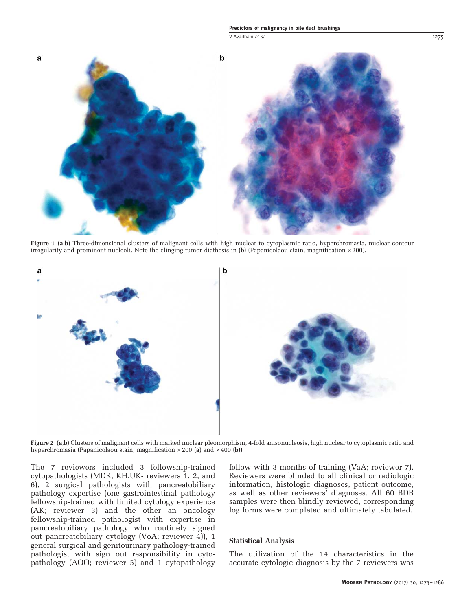v Avadhani et al 1275

<span id="page-2-0"></span>

Figure 1 (a,b) Three-dimensional clusters of malignant cells with high nuclear to cytoplasmic ratio, hyperchromasia, nuclear contour irregularity and prominent nucleoli. Note the clinging tumor diathesis in (b) (Papanicolaou stain, magnification × 200).



Figure 2 (a,b) Clusters of malignant cells with marked nuclear pleomorphism, 4-fold anisonucleosis, high nuclear to cytoplasmic ratio and hyperchromasia (Papanicolaou stain, magnification  $\times 200$  (a) and  $\times 400$  (b)).

The 7 reviewers included 3 fellowship-trained cytopathologists (MDR, KH,UK- reviewers 1, 2, and 6), 2 surgical pathologists with pancreatobiliary pathology expertise (one gastrointestinal pathology fellowship-trained with limited cytology experience (AK; reviewer 3) and the other an oncology fellowship-trained pathologist with expertise in pancreatobiliary pathology who routinely signed out pancreatobiliary cytology (VoA; reviewer 4)), 1 general surgical and genitourinary pathology-trained pathologist with sign out responsibility in cytopathology (AOO; reviewer 5) and 1 cytopathology

fellow with 3 months of training (VaA; reviewer 7). Reviewers were blinded to all clinical or radiologic information, histologic diagnoses, patient outcome, as well as other reviewers' diagnoses. All 60 BDB samples were then blindly reviewed, corresponding log forms were completed and ultimately tabulated.

#### Statistical Analysis

The utilization of the 14 characteristics in the accurate cytologic diagnosis by the 7 reviewers was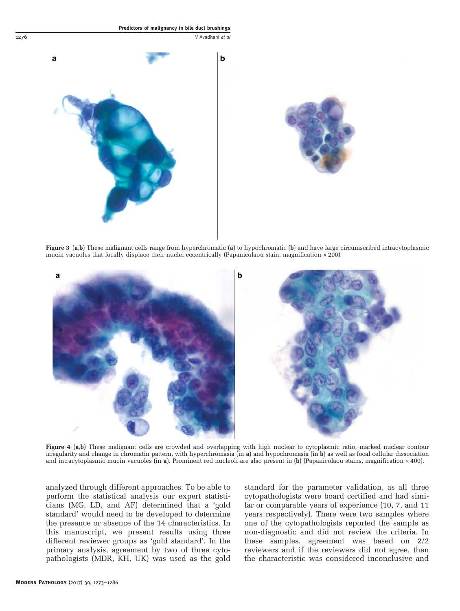<span id="page-3-0"></span>



Figure 3 (a,b) These malignant cells range from hyperchromatic (a) to hypochromatic (b) and have large circumscribed intracytoplasmic mucin vacuoles that focally displace their nuclei eccentrically (Papanicolaou stain, magnification × 200).



Figure 4 (a,b) These malignant cells are crowded and overlapping with high nuclear to cytoplasmic ratio, marked nuclear contour irregularity and change in chromatin pattern, with hyperchromasia (in a) and hypochromasia (in b) as well as focal cellular dissociation and intracytoplasmic mucin vacuoles (in a). Prominent red nucleoli are also present in  $(b)$  (Papanicolaou stains, magnification  $\times$  400).

analyzed through different approaches. To be able to perform the statistical analysis our expert statisticians (MG, LD, and AF) determined that a 'gold standard' would need to be developed to determine the presence or absence of the 14 characteristics. In this manuscript, we present results using three different reviewer groups as 'gold standard'. In the primary analysis, agreement by two of three cytopathologists (MDR, KH, UK) was used as the gold standard for the parameter validation, as all three cytopathologists were board certified and had similar or comparable years of experience (10, 7, and 11 years respectively). There were two samples where one of the cytopathologists reported the sample as non-diagnostic and did not review the criteria. In these samples, agreement was based on 2/2 reviewers and if the reviewers did not agree, then the characteristic was considered inconclusive and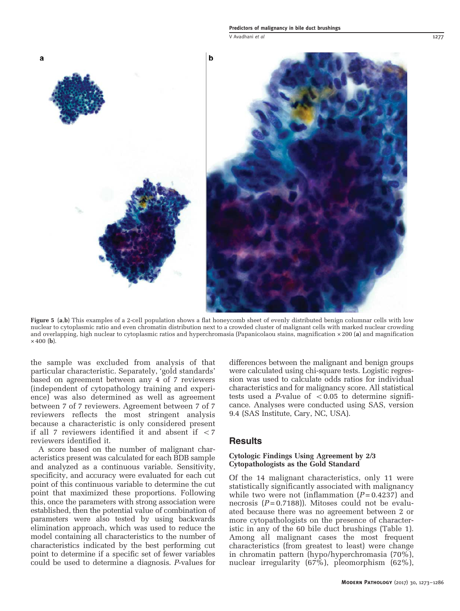V Avadhani *et al* 1277

<span id="page-4-0"></span>

Figure 5 (a,b) This examples of a 2-cell population shows a flat honeycomb sheet of evenly distributed benign columnar cells with low nuclear to cytoplasmic ratio and even chromatin distribution next to a crowded cluster of malignant cells with marked nuclear crowding and overlapping, high nuclear to cytoplasmic ratios and hyperchromasia (Papanicolaou stains, magnification × 200 (a) and magnification  $\times$  400 (b).

the sample was excluded from analysis of that particular characteristic. Separately, 'gold standards' based on agreement between any 4 of 7 reviewers (independent of cytopathology training and experience) was also determined as well as agreement between 7 of 7 reviewers. Agreement between 7 of 7 reviewers reflects the most stringent analysis because a characteristic is only considered present if all 7 reviewers identified it and absent if  $\langle 7 \rangle$ reviewers identified it.

A score based on the number of malignant characteristics present was calculated for each BDB sample and analyzed as a continuous variable. Sensitivity, specificity, and accuracy were evaluated for each cut point of this continuous variable to determine the cut point that maximized these proportions. Following this, once the parameters with strong association were established, then the potential value of combination of parameters were also tested by using backwards elimination approach, which was used to reduce the model containing all characteristics to the number of characteristics indicated by the best performing cut point to determine if a specific set of fewer variables could be used to determine a diagnosis. P-values for

differences between the malignant and benign groups were calculated using chi-square tests. Logistic regression was used to calculate odds ratios for individual characteristics and for malignancy score. All statistical tests used a P-value of  $< 0.05$  to determine significance. Analyses were conducted using SAS, version 9.4 (SAS Institute, Cary, NC, USA).

#### Results

#### Cytologic Findings Using Agreement by 2/3 Cytopathologists as the Gold Standard

Of the 14 malignant characteristics, only 11 were statistically significantly associated with malignancy while two were not (inflammation  $(P=0.4237)$  and necrosis  $(P=0.7188)$ ). Mitoses could not be evaluated because there was no agreement between 2 or more cytopathologists on the presence of characteristic in any of the 60 bile duct brushings [\(Table 1\)](#page-7-0). Among all malignant cases the most frequent characteristics (from greatest to least) were change in chromatin pattern (hypo/hyperchromasia (70%), nuclear irregularity (67%), pleomorphism (62%),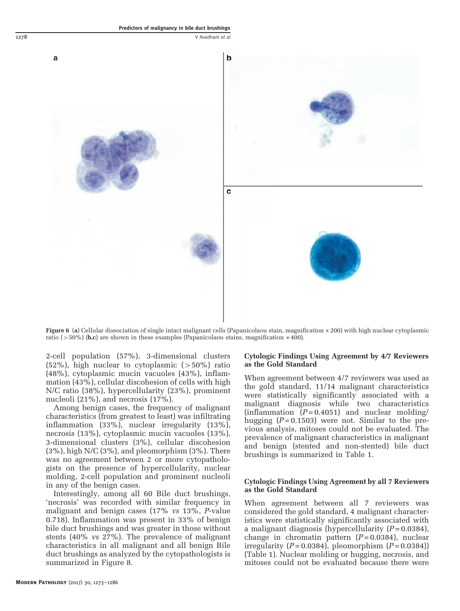<span id="page-5-0"></span>

Figure 6 (a) Cellular dissociation of single intact malignant cells (Papanicolaou stain, magnification × 200) with high nuclear cytoplasmic ratio ( $>50\%$ ) (b,c) are shown in these examples (Papanicolaou stains, magnification  $\times$  400).

2-cell population (57%), 3-dimensional clusters  $(52\%)$ , high nuclear to cytoplasmic  $(>50\%)$  ratio (48%), cytoplasmic mucin vacuoles (43%), inflammation (43%), cellular discohesion of cells with high N/C ratio (38%), hypercellularity (23%), prominent nucleoli (21%), and necrosis (17%).

Among benign cases, the frequency of malignant characteristics (from greatest to least) was infiltrating inflammation (33%), nuclear irregularity (13%), necrosis (13%), cytoplasmic mucin vacuoles (13%), 3-dimensional clusters (3%), cellular discohesion (3%), high N/C (3%), and pleomorphism (3%). There was no agreement between 2 or more cytopathologists on the presence of hypercellularity, nuclear molding, 2-cell population and prominent nucleoli in any of the benign cases.

Interestingly, among all 60 Bile duct brushings, 'necrosis' was recorded with similar frequency in malignant and benign cases (17% vs 13%, P-value 0.718). Inflammation was present in 33% of benign bile duct brushings and was greater in those without stents (40% vs 27%). The prevalence of malignant characteristics in all malignant and all benign Bile duct brushings as analyzed by the cytopathologists is summarized in [Figure 8](#page-8-0).

#### Modern Pathology (2017) 30, 1273–1286

### Cytologic Findings Using Agreement by 4/7 Reviewers as the Gold Standard

When agreement between 4/7 reviewers was used as the gold standard, 11/14 malignant characteristics were statistically significantly associated with a malignant diagnosis while two characteristics (inflammation  $(P=0.4051)$  and nuclear molding/ hugging  $(P = 0.1503)$  were not. Similar to the previous analysis, mitoses could not be evaluated. The prevalence of malignant characteristics in malignant and benign (stented and non-stented) bile duct brushings is summarized in [Table 1](#page-7-0).

#### Cytologic Findings Using Agreement by all 7 Reviewers as the Gold Standard

When agreement between all 7 reviewers was considered the gold standard, 4 malignant characteristics were statistically significantly associated with a malignant diagnosis (hypercellularity  $(P=0.0384)$ , change in chromatin pattern  $(P=0.0384)$ , nuclear irregularity ( $P = 0.0384$ ), pleomorphism ( $P = 0.0384$ )) ([Table 1](#page-7-0)). Nuclear molding or hugging, necrosis, and mitoses could not be evaluated because there were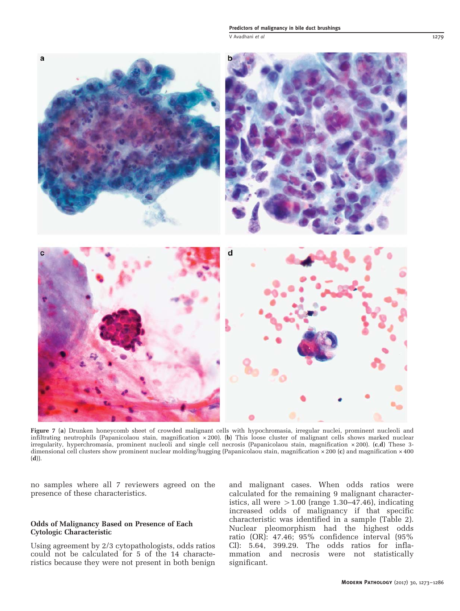#### Predictors of malignancy in bile duct brushings

V Avadhani et al 1279

<span id="page-6-0"></span>

Figure 7 (a) Drunken honeycomb sheet of crowded malignant cells with hypochromasia, irregular nuclei, prominent nucleoli and infiltrating neutrophils (Papanicolaou stain, magnification  $\times 200$ ). (b) This loose cluster of malignant cells shows marked nuclear irregularity, hyperchromasia, prominent nucleoli and single cell necrosis (Papanicolaou stain, magnification × 200). (c,d) These 3 dimensional cell clusters show prominent nuclear molding/hugging (Papanicolaou stain, magnification × 200 (c) and magnification × 400 (d)).

no samples where all 7 reviewers agreed on the presence of these characteristics.

#### Odds of Malignancy Based on Presence of Each Cytologic Characteristic

Using agreement by 2/3 cytopathologists, odds ratios could not be calculated for 5 of the 14 characteristics because they were not present in both benign and malignant cases. When odds ratios were calculated for the remaining 9 malignant characteristics, all were  $>1.00$  (range 1.30–47.46), indicating increased odds of malignancy if that specific characteristic was identified in a sample ([Table 2\)](#page-8-0). Nuclear pleomorphism had the highest odds ratio (OR): 47.46; 95% confidence interval (95% CI): 5.64, 399.29. The odds ratios for inflammation and necrosis were not statistically significant.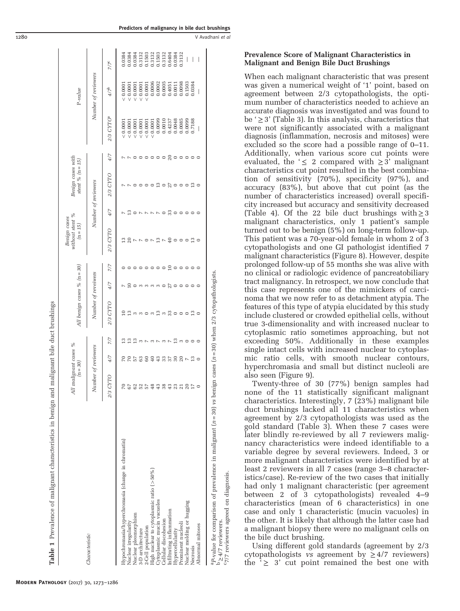<span id="page-7-0"></span>

|                                                                                                                                                                                                                 | All malignant cases %<br>$(n = 30)$ |                 |               | All benign cases % $(n=30)$                                                                                            |                     |                                                                          | without stent %<br>Benign cases<br>$(n = 15)$ |                      | Benign cases with<br>stent % $(n = 15)$                         |                                                                                   |                       | P-value             |        |
|-----------------------------------------------------------------------------------------------------------------------------------------------------------------------------------------------------------------|-------------------------------------|-----------------|---------------|------------------------------------------------------------------------------------------------------------------------|---------------------|--------------------------------------------------------------------------|-----------------------------------------------|----------------------|-----------------------------------------------------------------|-----------------------------------------------------------------------------------|-----------------------|---------------------|--------|
| Characteristic                                                                                                                                                                                                  | Number of reviewers                 |                 |               | Number of reveiwers                                                                                                    |                     |                                                                          |                                               |                      | Number of reviewers                                             |                                                                                   |                       | Number of reviewers |        |
|                                                                                                                                                                                                                 | <b>DLK</b><br>$2/3$ C               | 4/7             | 7/7           | 2/3 CYTO                                                                                                               | 4/7                 | 7/7                                                                      | 2/3 CYTO                                      | 4/7                  | 2/3 CYTO                                                        | 4/7                                                                               | 2/3 CYTO <sup>a</sup> | $\sqrt[4]{t}$       | 7/7    |
| Hypochromasia/hyperchromasia (change in chromatin)                                                                                                                                                              |                                     |                 |               |                                                                                                                        | $\overline{ }$      |                                                                          |                                               |                      |                                                                 |                                                                                   | < 0.000               | < 0.000             | 0.0384 |
| Nuclear irregularity                                                                                                                                                                                            |                                     |                 | 13            | $\frac{3}{2}$                                                                                                          | $\overline{1}$      |                                                                          |                                               | $\frac{3}{2}$        | $\overline{ }$                                                  |                                                                                   | < 0.0001              | 0.0007              | 0.0384 |
| Nuclear pleomorphism                                                                                                                                                                                            |                                     | R R 13 3        |               | m m o m                                                                                                                |                     | $\begin{array}{c} \circ \circ \circ \circ \circ \circ \circ \end{array}$ | 20N002N4000                                   | $\circ$              | $\circ$                                                         |                                                                                   | < 0.000               | ${}< 0.000$         | 0.0384 |
| 3-D architecture                                                                                                                                                                                                | S                                   |                 |               |                                                                                                                        |                     |                                                                          |                                               |                      |                                                                 | $\circ$                                                                           | < 0.0001              | < 0.000             | 0.3132 |
| 2-Cell population                                                                                                                                                                                               |                                     | 8               |               |                                                                                                                        |                     |                                                                          |                                               |                      | $\circ \circ \circ$                                             | $\circ$                                                                           | < 0.0001              | < 0.000             | 0.1503 |
| High nuclear to cytoplasmic ratio $(>50\%)$                                                                                                                                                                     |                                     | $\overline{40}$ |               |                                                                                                                        |                     |                                                                          |                                               |                      |                                                                 |                                                                                   | < 0.0001              | 0.0006              | 0.3132 |
| Cytoplasmic mucin vacuoles                                                                                                                                                                                      |                                     | 7.3588882       | 200000000     | 13                                                                                                                     | $O$ $O$ $O$ $O$ $O$ |                                                                          |                                               |                      | $\mathbb{C} \circ \mathbb{C} \circ \mathbb{C} \circ \mathbb{C}$ | $\begin{array}{ccc}\n0 & 0 & 0 & 0 & 0 & 0 \\ 0 & 0 & 0 & 0 & 0 & 0\n\end{array}$ | 0.0099                | 0.0002              | 0.1503 |
| Cellular discohesion                                                                                                                                                                                            | S                                   |                 |               |                                                                                                                        |                     |                                                                          |                                               |                      |                                                                 |                                                                                   | 0.0010                | 0.0005              | 0.3132 |
| Infiltrating inflammation<br>Hypercellularity                                                                                                                                                                   |                                     |                 |               | $\begin{array}{c} \mathfrak{m} \ \mathfrak{m} \ \mathfrak{m} \ \mathfrak{a} \ \mathfrak{c} \ \mathfrak{c} \end{array}$ | 27                  | $\frac{1}{2}$ 0                                                          |                                               | $\frac{1}{20}$ 0 0 0 |                                                                 |                                                                                   | 0.4237                | 0.4051              | 0.6404 |
|                                                                                                                                                                                                                 | ä                                   |                 | $\frac{3}{2}$ |                                                                                                                        | $\circ \circ \circ$ |                                                                          |                                               |                      |                                                                 |                                                                                   | 0.0048                | 0.0011              | 0.384  |
| Prominent nucleoli                                                                                                                                                                                              | $\mathbf{c}$                        |                 | $\infty$      |                                                                                                                        |                     |                                                                          |                                               |                      |                                                                 |                                                                                   | 0.0085                | 0.0098              | 0.3132 |
| Nuclear molding or hugging                                                                                                                                                                                      | $\bar{\circ}$                       |                 | $\circ$       |                                                                                                                        |                     | $\circ \circ \circ$                                                      |                                               |                      |                                                                 |                                                                                   | 0.0099                | 0.1503              | I      |
| Necrosis                                                                                                                                                                                                        |                                     |                 | $\circ$       | $\frac{3}{2}$                                                                                                          | $\circ$             |                                                                          | 13                                            | $\circ$              | $_{13}$                                                         |                                                                                   | 0.7188                | 0.0384              | I      |
| Abnormal mitoses                                                                                                                                                                                                |                                     | $\circ$         | $\circ$       | $\circ$                                                                                                                |                     |                                                                          | $\circ$                                       |                      |                                                                 |                                                                                   | I                     | I                   |        |
| <sup>a</sup> P-value for comparison of prevalence in malignant ( $n=30$ ) vs benign cases ( $n=30$ ) when 2/3 cytopathologists.<br><sup>C</sup> 7/7 reviewers agreed on diagnosis.<br>$D_{\geq 4/7}$ reviewers. |                                     |                 |               |                                                                                                                        |                     |                                                                          |                                               |                      |                                                                 |                                                                                   |                       |                     |        |

Predictors of malignancy in bile duct brushings

#### Prevalence Score of Malignant Characteristics in Malignant and Benign Bile Duct Brushings

When each malignant characteristic that was present was given a numerical weight of '1' point, based on agreement between 2/3 cytopathologists, the optimum number of characteristics needed to achieve an accurate diagnosis was investigated and was found to be  $\geq$  3' ([Table 3\)](#page-9-0). In this analysis, characteristics that were not significantly associated with a malignant diagnosis (inflammation, necrosis and mitoses) were excluded so the score had a possible range of 0–11. Additionally, when various score cut points were evaluated, the ' $\leq$  2 compared with  $\geq$  3' malignant characteristics cut point resulted in the best combination of sensitivity (70%), specificity (97%), and accuracy (83%), but above that cut point (as the number of characteristics increased) overall specificity increased but accuracy and sensitivity decreased ([Table 4\)](#page-9-0). Of the 22 bile duct brushings with  $\geq$  3 malignant characteristics, only 1 patient's sample turned out to be benign (5%) on long-term follow-up. This patient was a 70-year-old female in whom 2 of 3 cytopathologists and one GI pathologist identified 7 malignant characteristics [\(Figure 8\)](#page-8-0). However, despite prolonged follow-up of 55 months she was alive with no clinical or radiologic evidence of pancreatobiliary tract malignancy. In retrospect, we now conclude that this case represents one of the mimickers of carcinoma that we now refer to as detachment atypia. The features of this type of atypia elucidated by this study include clustered or crowded epithelial cells, without true 3-dimensionality and with increased nuclear to cytoplasmic ratio sometimes approaching, but not exceeding 50%. Additionally in these examples single intact cells with increased nuclear to cytoplasmic ratio cells, with smooth nuclear contours, hyperchromasia and small but distinct nucleoli are also seen [\(Figure 9](#page-10-0)).

Twenty-three of 30 (77%) benign samples had none of the 11 statistically significant malignant characteristics. Interestingly, 7 (23%) malignant bile duct brushings lacked all 11 characteristics when agreement by 2/3 cytopathologists was used as the gold standard [\(Table 3](#page-9-0)). When these 7 cases were later blindly re-reviewed by all 7 reviewers malignancy characteristics were indeed identifiable to a variable degree by several reviewers. Indeed, 3 or more malignant characteristics were identified by at least 2 reviewers in all 7 cases (range 3–8 characteristics/case). Re-review of the two cases that initially had only 1 malignant characteristic (per agreement between 2 of 3 cytopathologists) revealed 4–9 characteristics (mean of 6 characteristics) in one case and only 1 characteristic (mucin vacuoles) in the other. It is likely that although the latter case had a malignant biopsy there were no malignant cells on the bile duct brushing.

reviewers agreed

Using different gold standards (agreement by 2/3 cytopathologists vs agreement by  $\geq 4/7$  reviewers) the  $\geq$  3' cut point remained the best one with

Table 1 Prevalence of malignant characteristics in benign and malignant bile duct brushings

Prevalence of malignant characteristics in benign and malignant bile duct brushings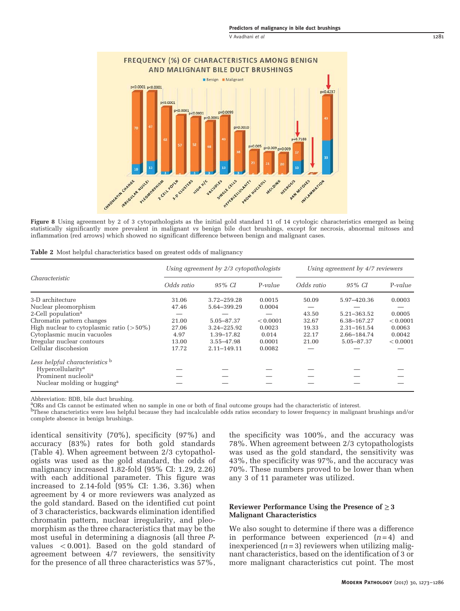V Avadhani et al 1281

<span id="page-8-0"></span>

Figure 8 Using agreement by 2 of 3 cytopathologists as the initial gold standard 11 of 14 cytologic characteristics emerged as being statistically significantly more prevalent in malignant vs benign bile duct brushings, except for necrosis, abnormal mitoses and inflammation (red arrows) which showed no significant difference between benign and malignant cases.

|  |  |  | Table 2 Most helpful characteristics based on greatest odds of malignancy |  |  |  |  |  |  |  |
|--|--|--|---------------------------------------------------------------------------|--|--|--|--|--|--|--|
|--|--|--|---------------------------------------------------------------------------|--|--|--|--|--|--|--|

|                                              |            | Using agreement by 2/3 cytopathologists |           | Using agreement by 4/7 reviewers |             |           |  |
|----------------------------------------------|------------|-----------------------------------------|-----------|----------------------------------|-------------|-----------|--|
| <i>Characteristic</i>                        | Odds ratio | $95\%$ CI                               | $P-value$ | Odds ratio                       | 95% CI      | $P-value$ |  |
| 3-D architecture                             | 31.06      | 3.72-259.28                             | 0.0015    | 50.09                            | 5.97-420.36 | 0.0003    |  |
| Nuclear pleomorphism                         | 47.46      | 5.64-399.29                             | 0.0004    |                                  |             |           |  |
| 2-Cell population <sup>a</sup>               |            |                                         |           | 43.50                            | 5.21-363.52 | 0.0005    |  |
| Chromatin pattern changes                    | 21.00      | 5.05-87.37                              | < 0.0001  | 32.67                            | 6.38-167.27 | < 0.0001  |  |
| High nuclear to cytoplasmic ratio $($ > 50%) | 27.06      | 3.24-225.92                             | 0.0023    | 19.33                            | 2.31-161.54 | 0.0063    |  |
| Cytoplasmic mucin vacuoles                   | 4.97       | 1.39-17.82                              | 0.014     | 22.17                            | 2.66-184.74 | 0.0042    |  |
| Irregular nuclear contours                   | 13.00      | 3.55-47.98                              | 0.0001    | 21.00                            | 5.05-87.37  | < 0.0001  |  |
| Cellular discohesion                         | 17.72      | 2.11-149.11                             | 0.0082    |                                  |             |           |  |
| Less helpful characteristics b               |            |                                         |           |                                  |             |           |  |
| Hypercellularity <sup>a</sup>                |            |                                         |           |                                  |             |           |  |
| Prominent nucleoli <sup>a</sup>              |            |                                         |           |                                  |             |           |  |
| Nuclear molding or hugging <sup>a</sup>      |            |                                         |           |                                  |             |           |  |

Abbreviation: BDB, bile duct brushing.

<sup>a</sup>ORs and CIs cannot be estimated when no sample in one or both of final outcome groups had the characteristic of interest.

bThese characteristics were less helpful because they had incalculable odds ratios secondary to lower frequency in malignant brushings and/or complete absence in benign brushings.

identical sensitivity (70%), specificity (97%) and accuracy (83%) rates for both gold standards ([Table 4](#page-9-0)). When agreement between 2/3 cytopathologists was used as the gold standard, the odds of malignancy increased 1.82-fold (95% CI: 1.29, 2.26) with each additional parameter. This figure was increased to 2.14-fold (95% CI: 1.36, 3.36) when agreement by 4 or more reviewers was analyzed as the gold standard. Based on the identified cut point of 3 characteristics, backwards elimination identified chromatin pattern, nuclear irregularity, and pleomorphism as the three characteristics that may be the most useful in determining a diagnosis (all three Pvalues  $\langle 0.001$ . Based on the gold standard of agreement between 4/7 reviewers, the sensitivity for the presence of all three characteristics was 57%,

the specificity was 100%, and the accuracy was 78%. When agreement between 2/3 cytopathologists was used as the gold standard, the sensitivity was 43%, the specificity was 97%, and the accuracy was 70%. These numbers proved to be lower than when any 3 of 11 parameter was utilized.

#### Reviewer Performance Using the Presence of  $\geq$  3 Malignant Characteristics

We also sought to determine if there was a difference in performance between experienced  $(n=4)$  and inexperienced  $(n=3)$  reviewers when utilizing malignant characteristics, based on the identification of 3 or more malignant characteristics cut point. The most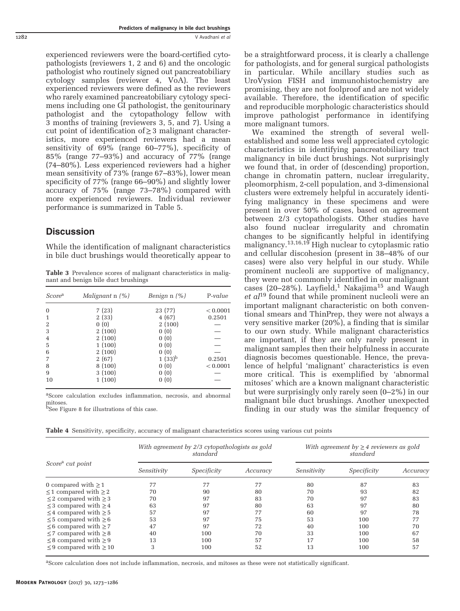experienced reviewers were the board-certified cytopathologists (reviewers 1, 2 and 6) and the oncologic pathologist who routinely signed out pancreatobiliary cytology samples (reviewer 4, VoA). The least experienced reviewers were defined as the reviewers who rarely examined pancreatobiliary cytology specimens including one GI pathologist, the genitourinary pathologist and the cytopathology fellow with 3 months of training (reviewers 3, 5, and 7). Using a cut point of identification of≥3 malignant characteristics, more experienced reviewers had a mean sensitivity of 69% (range 60–77%), specificity of 85% (range 77–93%) and accuracy of 77% (range (74–80%). Less experienced reviewers had a higher mean sensitivity of 73% (range 67–83%), lower mean specificity of 77% (range 66–90%) and slightly lower accuracy of 75% (range 73–78%) compared with more experienced reviewers. Individual reviewer performance is summarized in [Table 5](#page-10-0).

# **Discussion**

While the identification of malignant characteristics in bile duct brushings would theoretically appear to

Table 3 Prevalence scores of malignant characteristics in malignant and benign bile duct brushings

| Score <sup>a</sup> | Malignant $\ln$ (%) | <i>Benign</i> $n$ $(\%)$ | $P-value$ |
|--------------------|---------------------|--------------------------|-----------|
| 0                  | 7(23)               | 23 (77)                  | < 0.0001  |
| 1                  | 2(33)               | 4(67)                    | 0.2501    |
| 2                  | 0(0)                | 2(100)                   |           |
| 3                  | 2(100)              | 0(0)                     |           |
| 4                  | 2(100)              | 0(0)                     |           |
| 5                  | 1(100)              | 0(0)                     |           |
| 6                  | 2(100)              | 0(0)                     |           |
| 7                  | 2(67)               | $1(33)^{b}$              | 0.2501    |
| 8                  | 8(100)              | 0(0)                     | < 0.0001  |
| 9                  | 3(100)              | 0(0)                     |           |
| 10                 | 1(100)              | 0(0)                     |           |

aScore calculation excludes inflammation, necrosis, and abnormal mitoses.

<sup>b</sup>See [Figure 8](#page-8-0) for illustrations of this case.

be a straightforward process, it is clearly a challenge for pathologists, and for general surgical pathologists in particular. While ancillary studies such as UroVysion FISH and immunohistochemistry are promising, they are not foolproof and are not widely available. Therefore, the identification of specific and reproducible morphologic characteristics should improve pathologist performance in identifying more malignant tumors.

We examined the strength of several wellestablished and some less well appreciated cytologic characteristics in identifying pancreatobiliary tract malignancy in bile duct brushings. Not surprisingly we found that, in order of (descending) proportion, change in chromatin pattern, nuclear irregularity, pleomorphism, 2-cell population, and 3-dimensional clusters were extremely helpful in accurately identifying malignancy in these specimens and were present in over 50% of cases, based on agreement between 2/3 cytopathologists. Other studies have also found nuclear irregularity and chromatin changes to be significantly helpful in identifying malignancy.<sup>[13,16,19](#page-12-0)</sup> High nuclear to cytoplasmic ratio and cellular discohesion (present in 38–48% of our cases) were also very helpful in our study. While prominent nucleoli are supportive of malignancy, they were not commonly identified in our malignant cases (20–28%). Layfield,<sup>[1](#page-12-0)</sup> Nakajima<sup>[15](#page-12-0)</sup> and Waugh  $et$   $al^{19}$  $al^{19}$  $al^{19}$  found that while prominent nucleoli were an important malignant characteristic on both conventional smears and ThinPrep, they were not always a very sensitive marker (20%), a finding that is similar to our own study. While malignant characteristics are important, if they are only rarely present in malignant samples then their helpfulness in accurate diagnosis becomes questionable. Hence, the prevalence of helpful 'malignant' characteristics is even more critical. This is exemplified by 'abnormal mitoses' which are a known malignant characteristic but were surprisingly only rarely seen (0–2%) in our malignant bile duct brushings. Another unexpected finding in our study was the similar frequency of

Table 4 Sensitivity, specificity, accuracy of malignant characteristics scores using various cut points

|                                  |             | With agreement by 2/3 cytopathologists as gold<br>standard |          | With agreement by $\geq$ 4 reviewers as gold<br>standard |             |          |  |  |
|----------------------------------|-------------|------------------------------------------------------------|----------|----------------------------------------------------------|-------------|----------|--|--|
| Score <sup>a</sup> cut point     | Sensitivity | Specificity                                                | Accuracy | Sensitivity                                              | Specificity | Accuracy |  |  |
| 0 compared with $\geq 1$         | 77          | 77                                                         | 77       | 80                                                       | 87          | 83       |  |  |
| $\leq$ 1 compared with $\geq$ 2  | 70          | 90                                                         | 80       | 70                                                       | 93          | 82       |  |  |
| $\leq$ 2 compared with $\geq$ 3  | 70          | 97                                                         | 83       | 70                                                       | 97          | 83       |  |  |
| $\leq$ 3 compared with $\geq$ 4  | 63          | 97                                                         | 80       | 63                                                       | 97          | 80       |  |  |
| $\leq 4$ compared with $\geq 5$  | 57          | 97                                                         | 77       | 60                                                       | 97          | 78       |  |  |
| $\leq 5$ compared with $\geq 6$  | 53          | 97                                                         | 75       | 53                                                       | 100         | 77       |  |  |
| $\leq$ 6 compared with $\geq$ 7  | 47          | 97                                                         | 72       | 40                                                       | 100         | 70       |  |  |
| $\leq$ 7 compared with $\geq$ 8  | 40          | 100                                                        | 70       | 33                                                       | 100         | 67       |  |  |
| $\leq 8$ compared with $\geq 9$  | 13          | 100                                                        | 57       | 17                                                       | 100         | 58       |  |  |
| $\leq$ 9 compared with $\geq$ 10 | 3           | 100                                                        | 52       | 13                                                       | 100         | 57       |  |  |

aScore calculation does not include inflammation, necrosis, and mitoses as these were not statistically significant.

<span id="page-9-0"></span>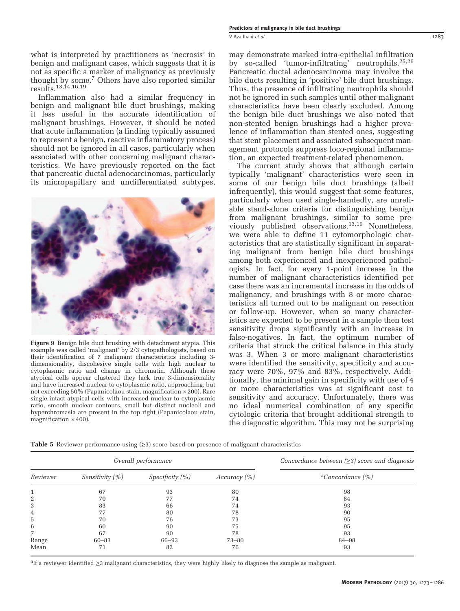<span id="page-10-0"></span>what is interpreted by practitioners as 'necrosis' in benign and malignant cases, which suggests that it is not as specific a marker of malignancy as previously thought by some.[7](#page-12-0) Others have also reported similar results.[13,14,16,19](#page-12-0)

Inflammation also had a similar frequency in benign and malignant bile duct brushings, making it less useful in the accurate identification of malignant brushings. However, it should be noted that acute inflammation (a finding typically assumed to represent a benign, reactive inflammatory process) should not be ignored in all cases, particularly when associated with other concerning malignant characteristics. We have previously reported on the fact that pancreatic ductal adenocarcinomas, particularly its micropapillary and undifferentiated subtypes,



Figure 9 Benign bile duct brushing with detachment atypia. This example was called 'malignant' by 2/3 cytopathologists, based on their identification of 7 malignant characteristics including 3 dimensionality, discohesive single cells with high nuclear to cytoplasmic ratio and change in chromatin. Although these atypical cells appear clustered they lack true 3-dimensionality and have increased nuclear to cytoplasmic ratio, approaching, but not exceeding 50% (Papanicolaou stain, magnification × 200). Rare single intact atypical cells with increased nuclear to cytoplasmic ratio, smooth nuclear contours, small but distinct nucleoli and hyperchromasia are present in the top right (Papanicolaou stain, magnification  $\times$  400).

may demonstrate marked intra-epithelial infiltration by so-called 'tumor-infiltrating' neutrophils.[25,26](#page-12-0) Pancreatic ductal adenocarcinoma may involve the bile ducts resulting in 'positive' bile duct brushings. Thus, the presence of infiltrating neutrophils should not be ignored in such samples until other malignant characteristics have been clearly excluded. Among the benign bile duct brushings we also noted that non-stented benign brushings had a higher prevalence of inflammation than stented ones, suggesting that stent placement and associated subsequent management protocols suppress loco-regional inflammation, an expected treatment-related phenomenon.

The current study shows that although certain typically 'malignant' characteristics were seen in some of our benign bile duct brushings (albeit infrequently), this would suggest that some features, particularly when used single-handedly, are unreliable stand-alone criteria for distinguishing benign from malignant brushings, similar to some previously published observations.[13,19](#page-12-0) Nonetheless, we were able to define 11 cytomorphologic characteristics that are statistically significant in separating malignant from benign bile duct brushings among both experienced and inexperienced pathologists. In fact, for every 1-point increase in the number of malignant characteristics identified per case there was an incremental increase in the odds of malignancy, and brushings with 8 or more characteristics all turned out to be malignant on resection or follow-up. However, when so many characteristics are expected to be present in a sample then test sensitivity drops significantly with an increase in false-negatives. In fact, the optimum number of criteria that struck the critical balance in this study was 3. When 3 or more malignant characteristics were identified the sensitivity, specificity and accuracy were 70%, 97% and 83%, respectively. Additionally, the minimal gain in specificity with use of 4 or more characteristics was at significant cost to sensitivity and accuracy. Unfortunately, there was no ideal numerical combination of any specific cytologic criteria that brought additional strength to the diagnostic algorithm. This may not be surprising

**Table 5** Reviewer performance using  $(\geq 3)$  score based on presence of malignant characteristics

|          |                     | Overall performance |              | Concordance between $(\geq 3)$ score and diagnosis |
|----------|---------------------|---------------------|--------------|----------------------------------------------------|
| Reviewer | Sensitivity $(\% )$ | Specificity $(\%)$  | Accuracy (%) | <sup>a</sup> Concordance $(\% )$                   |
|          | 67                  | 93                  | 80           | 98                                                 |
| 2        | 70                  | 77                  | 74           | 84                                                 |
| 3        | 83                  | 66                  | 74           | 93                                                 |
| 4        | 77                  | 80                  | 78           | 90                                                 |
| 5        | 70                  | 76                  | 73           | 95                                                 |
| 6        | 60                  | 90                  | 75           | 95                                                 |
| 7        | 67                  | 90                  | 78           | 93                                                 |
| Range    | $60 - 83$           | 66-93               | $73 - 80$    | 84-98                                              |
| Mean     | 71                  | 82                  | 76           | 93                                                 |

aIf a reviewer identified ≥3 malignant characteristics, they were highly likely to diagnose the sample as malignant.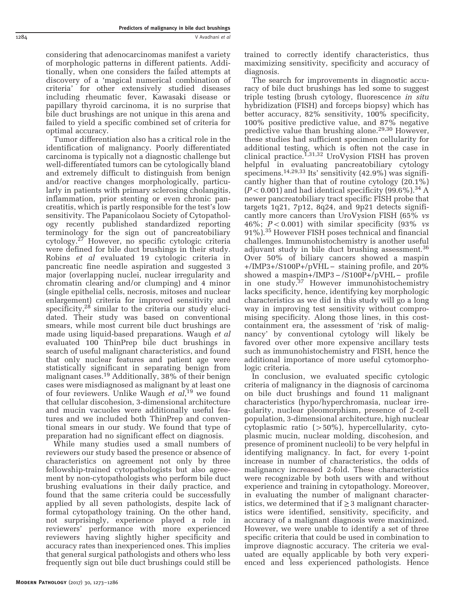1284 V Avadhani et al

considering that adenocarcinomas manifest a variety of morphologic patterns in different patients. Additionally, when one considers the failed attempts at discovery of a 'magical numerical combination of criteria' for other extensively studied diseases including rheumatic fever, Kawasaki disease or papillary thyroid carcinoma, it is no surprise that bile duct brushings are not unique in this arena and failed to yield a specific combined set of criteria for optimal accuracy.

Tumor differentiation also has a critical role in the identification of malignancy. Poorly differentiated carcinoma is typically not a diagnostic challenge but well-differentiated tumors can be cytologically bland and extremely difficult to distinguish from benign and/or reactive changes morphologically, particularly in patients with primary sclerosing cholangitis, inflammation, prior stenting or even chronic pancreatitis, which is partly responsible for the test's low sensitivity. The Papanicolaou Society of Cytopathology recently published standardized reporting terminology for the sign out of pancreatobiliary cytology.[27](#page-12-0) However, no specific cytologic criteria were defined for bile duct brushings in their study. Robins et al evaluated 19 cytologic criteria in pancreatic fine needle aspiration and suggested 3 major (overlapping nuclei, nuclear irregularity and chromatin clearing and/or clumping) and 4 minor (single epithelial cells, necrosis, mitoses and nuclear enlargement) criteria for improved sensitivity and specificity, $28 \sin \theta$  $28 \sin \theta$  similar to the criteria our study elucidated. Their study was based on conventional smears, while most current bile duct brushings are made using liquid-based preparations. Waugh et al evaluated 100 ThinPrep bile duct brushings in search of useful malignant characteristics, and found that only nuclear features and patient age were statistically significant in separating benign from malignant cases[.19](#page-12-0) Additionally, 38% of their benign cases were misdiagnosed as malignant by at least one of four reviewers. Unlike Waugh et al,<sup>[19](#page-12-0)</sup> we found that cellular discohesion, 3-dimensional architecture and mucin vacuoles were additionally useful features and we included both ThinPrep and conventional smears in our study. We found that type of preparation had no significant effect on diagnosis.

While many studies used a small numbers of reviewers our study based the presence or absence of characteristics on agreement not only by three fellowship-trained cytopathologists but also agreement by non-cytopathologists who perform bile duct brushing evaluations in their daily practice, and found that the same criteria could be successfully applied by all seven pathologists, despite lack of formal cytopathology training. On the other hand, not surprisingly, experience played a role in reviewers' performance with more experienced reviewers having slightly higher specificity and accuracy rates than inexperienced ones. This implies that general surgical pathologists and others who less frequently sign out bile duct brushings could still be

trained to correctly identify characteristics, thus maximizing sensitivity, specificity and accuracy of diagnosis.

The search for improvements in diagnostic accuracy of bile duct brushings has led some to suggest triple testing (brush cytology, fluorescence in situ hybridization (FISH) and forceps biopsy) which has better accuracy, 82% sensitivity, 100% specificity, 100% positive predictive value, and 87% negative predictive value than brushing alone.<sup>[29,30](#page-12-0)</sup> However, these studies had sufficient specimen cellularity for additional testing, which is often not the case in clinical practice.<sup>[1,31](#page-12-0)[,32](#page-13-0)</sup> UroVysion FISH has proven helpful in evaluating pancreatobiliary cytology specimens.<sup>[14,29,](#page-12-0)[33](#page-13-0)</sup> Its' sensitivity  $(42.9\%)$  was significantly higher than that of routine cytology (20.1%)  $(P<0.001)$  and had identical specificity (99.6%).<sup>34</sup> A newer pancreatobiliary tract specific FISH probe that targets 1q21, 7p12, 8q24, and 9p21 detects significantly more cancers than UroVysion FISH (65% vs 46%;  $P < 0.001$ ) with similar specificity (93% vs 91%).[35](#page-13-0) However FISH poses technical and financial challenges. Immunohistochemistry is another useful adjuvant study in bile duct brushing assessment.<sup>[36](#page-13-0)</sup> Over 50% of biliary cancers showed a maspin +/IMP3+/S100P+/pVHL − staining profile, and 20% showed a maspin+/IMP3 − /S100P+/pVHL − profile in one study.[37](#page-13-0) However immunohistochemistry lacks specificity, hence, identifying key morphologic characteristics as we did in this study will go a long way in improving test sensitivity without compromising specificity. Along those lines, in this costcontainment era, the assessment of 'risk of malignancy' by conventional cytology will likely be favored over other more expensive ancillary tests such as immunohistochemistry and FISH, hence the additional importance of more useful cytomorphologic criteria.

In conclusion, we evaluated specific cytologic criteria of malignancy in the diagnosis of carcinoma on bile duct brushings and found 11 malignant characteristics (hypo/hyperchromasia, nuclear irregularity, nuclear pleomorphism, presence of 2-cell population, 3-dimensional architecture, high nuclear cytoplasmic ratio  $(50\%)$ , hypercellularity, cytoplasmic mucin, nuclear molding, discohesion, and presence of prominent nucleoli) to be very helpful in identifying malignancy. In fact, for every 1-point increase in number of characteristics, the odds of malignancy increased 2-fold. These characteristics were recognizable by both users with and without experience and training in cytopathology. Moreover, in evaluating the number of malignant characteristics, we determined that if  $\geq$  3 malignant characteristics were identified, sensitivity, specificity, and accuracy of a malignant diagnosis were maximized. However, we were unable to identify a set of three specific criteria that could be used in combination to improve diagnostic accuracy. The criteria we evaluated are equally applicable by both very experienced and less experienced pathologists. Hence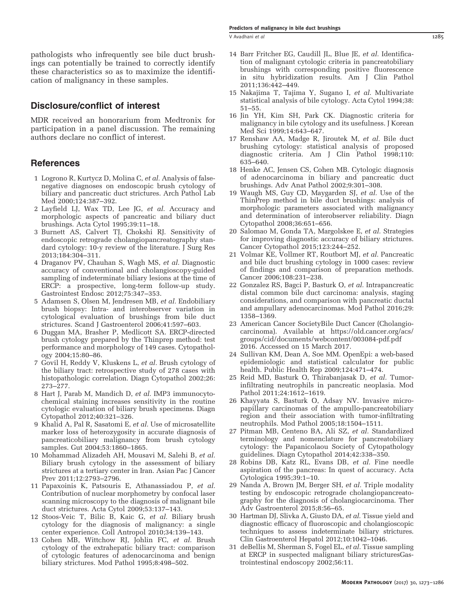<span id="page-12-0"></span>pathologists who infrequently see bile duct brushings can potentially be trained to correctly identify these characteristics so as to maximize the identification of malignancy in these samples.

# Disclosure/conflict of interest

MDR received an honorarium from Medtronix for participation in a panel discussion. The remaining authors declare no conflict of interest.

## **References**

- 1 Logrono R, Kurtycz D, Molina C, et al. Analysis of falsenegative diagnoses on endoscopic brush cytology of biliary and pancreatic duct strictures. Arch Pathol Lab Med 2000;124:387–392.
- 2 Layfield LJ, Wax TD, Lee JG, et al. Accuracy and morphologic aspects of pancreatic and biliary duct brushings. Acta Cytol 1995;39:11–18.
- 3 Burnett AS, Calvert TJ, Chokshi RJ. Sensitivity of endoscopic retrograde cholangiopancreatography standard cytology: 10-y review of the literature. J Surg Res 2013;184:304–311.
- 4 Draganov PV, Chauhan S, Wagh MS, et al. Diagnostic accuracy of conventional and cholangioscopy-guided sampling of indeterminate biliary lesions at the time of ERCP: a prospective, long-term follow-up study. Gastrointest Endosc 2012;75:347–353.
- 5 Adamsen S, Olsen M, Jendresen MB, et al. Endobiliary brush biopsy: Intra- and interobserver variation in cytological evaluation of brushings from bile duct strictures. Scand J Gastroenterol 2006;41:597–603.
- 6 Duggan MA, Brasher P, Medlicott SA. ERCP-directed brush cytology prepared by the Thinprep method: test performance and morphology of 149 cases. Cytopathology 2004;15:80–86.
- 7 Govil H, Reddy V, Kluskens L, et al. Brush cytology of the biliary tract: retrospective study of 278 cases with histopathologic correlation. Diagn Cytopathol 2002;26: 273–277.
- 8 Hart J, Parab M, Mandich D, et al. IMP3 immunocytochemical staining increases sensitivity in the routine cytologic evaluation of biliary brush specimens. Diagn Cytopathol 2012;40:321–326.
- 9 Khalid A, Pal R, Sasatomi E, et al. Use of microsatellite marker loss of heterozygosity in accurate diagnosis of pancreaticobiliary malignancy from brush cytology samples. Gut 2004;53:1860–1865.
- 10 Mohammad Alizadeh AH, Mousavi M, Salehi B, et al. Biliary brush cytology in the assessment of biliary strictures at a tertiary center in Iran. Asian Pac J Cancer Prev 2011;12:2793–2796.
- 11 Papaxoinis K, Patsouris E, Athanassiadou P, et al. Contribution of nuclear morphometry by confocal laser scanning microscopy to the diagnosis of malignant bile duct strictures. Acta Cytol 2009;53:137–143.
- 12 Stoos-Veic T, Bilic B, Kaic G, et al. Biliary brush cytology for the diagnosis of malignancy: a single center experience. Coll Antropol 2010;34:139–143.
- 13 Cohen MB, Wittchow RJ, Johlin FC, et al. Brush cytology of the extrahepatic biliary tract: comparison of cytologic features of adenocarcinoma and benign biliary strictures. Mod Pathol 1995;8:498–502.
- 14 Barr Fritcher EG, Caudill JL, Blue JE, et al. Identification of malignant cytologic criteria in pancreatobiliary brushings with corresponding positive fluorescence in situ hybridization results. Am J Clin Pathol 2011;136:442–449.
- 15 Nakajima T, Tajima Y, Sugano I, et al. Multivariate statistical analysis of bile cytology. Acta Cytol 1994;38: 51–55.
- 16 Jin YH, Kim SH, Park CK. Diagnostic criteria for malignancy in bile cytology and its usefulness. J Korean Med Sci 1999;14:643–647.
- 17 Renshaw AA, Madge R, Jiroutek M, et al. Bile duct brushing cytology: statistical analysis of proposed diagnostic criteria. Am J Clin Pathol 1998;110: 635–640.
- 18 Henke AC, Jensen CS, Cohen MB. Cytologic diagnosis of adenocarcinoma in biliary and pancreatic duct brushings. Adv Anat Pathol 2002;9:301–308.
- 19 Waugh MS, Guy CD, Maygarden SJ, et al. Use of the ThinPrep method in bile duct brushings: analysis of morphologic parameters associated with malignancy and determination of interobserver reliability. Diagn Cytopathol 2008;36:651–656.
- 20 Salomao M, Gonda TA, Margolskee E, et al. Strategies for improving diagnostic accuracy of biliary strictures. Cancer Cytopathol 2015;123:244–252.
- 21 Volmar KE, Vollmer RT, Routbort MJ, et al. Pancreatic and bile duct brushing cytology in 1000 cases: review of findings and comparison of preparation methods. Cancer 2006;108:231-238.
- 22 Gonzalez RS, Bagci P, Basturk O, et al. Intrapancreatic distal common bile duct carcinoma: analysis, staging considerations, and comparison with pancreatic ductal and ampullary adenocarcinomas. Mod Pathol 2016;29: 1358–1369.
- 23 American Cancer SocietyBile Duct Cancer (Cholangiocarcinoma). Available at [https://old.cancer.org/acs/](https://old.cancer.org/acs/groups/cid/documents/webcontent/003084-pdf.pdf) [groups/cid/documents/webcontent/003084-pdf.pdf](https://old.cancer.org/acs/groups/cid/documents/webcontent/003084-pdf.pdf) 2016. Accessed on 15 March 2017.
- 24 Sullivan KM, Dean A, Soe MM. OpenEpi: a web-based epidemiologic and statistical calculator for public health. Public Health Rep 2009;124:471–474.
- 25 Reid MD, Basturk O, Thirabanjasak D, et al. Tumorinfiltrating neutrophils in pancreatic neoplasia. Mod Pathol 2011;24:1612–1619.
- 26 Khayyata S, Basturk O, Adsay NV. Invasive micropapillary carcinomas of the ampullo-pancreatobiliary region and their association with tumor-infiltrating neutrophils. Mod Pathol 2005;18:1504–1511.
- 27 Pitman MB, Centeno BA, Ali SZ, et al. Standardized terminology and nomenclature for pancreatobiliary cytology: the Papanicolaou Society of Cytopathology guidelines. Diagn Cytopathol 2014;42:338–350.
- 28 Robins DB, Katz RL, Evans DB, et al. Fine needle aspiration of the pancreas: In quest of accuracy. Acta Cytologica 1995;39:1–10.
- 29 Nanda A, Brown JM, Berger SH, et al. Triple modality testing by endoscopic retrograde cholangiopancreatography for the diagnosis of cholangiocarcinoma. Ther Adv Gastroenterol 2015;8:56–65.
- 30 Hartman DJ, Slivka A, Giusto DA, et al. Tissue yield and diagnostic efficacy of fluoroscopic and cholangioscopic techniques to assess indeterminate biliary strictures. Clin Gastroenterol Hepatol 2012;10:1042–1046.
- 31 deBellis M, Sherman S, Fogel EL, et al. Tissue sampling at ERCP in suspected malignant biliary stricturesGastrointestinal endoscopy 2002;56:11.